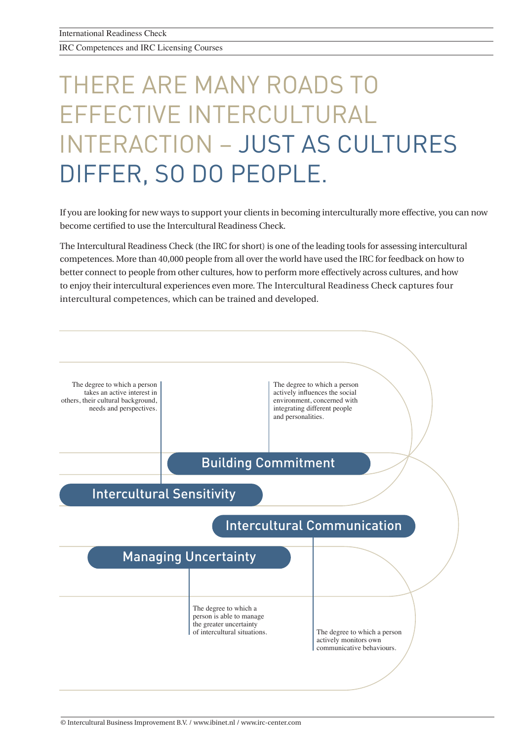IRC Competences and IRC Licensing Courses

## THERE ARE MANY ROADS TO EFFECTIVE INTERCULTURAL INTERACTION – JUST AS CULTURES DIFFER, SO DO PEOPLE. INTERACTION – JUST AS CULTURES (INTERACTION) – JUST AS CULTURES (INTERACTION) – JUST AS CULTURES (INTERACTION)<br>Interactional and the cultures (Interaction) – Just and the cultures (Interaction) – Just an action (Interactio

If you are looking for new ways to support your clients in becoming interculturally more effective, you can now If you are looking for new ways to support your clients in becoming interculturally more effective, you can ne<br>become certified to use the Intercultural Readiness Check.

The Intercultural Readiness Check (the IRC for short) is one of the leading tools for assessing intercultural competences. More than 40,000 people from all over the world have used the IRC for feedback on how to better connect to people from other cultures, how to perform more effectively across cultures, and how to enjoy their intercultural experiences even more. The Intercultural Readiness Check captures four intercultural competences, which can be trained and developed.

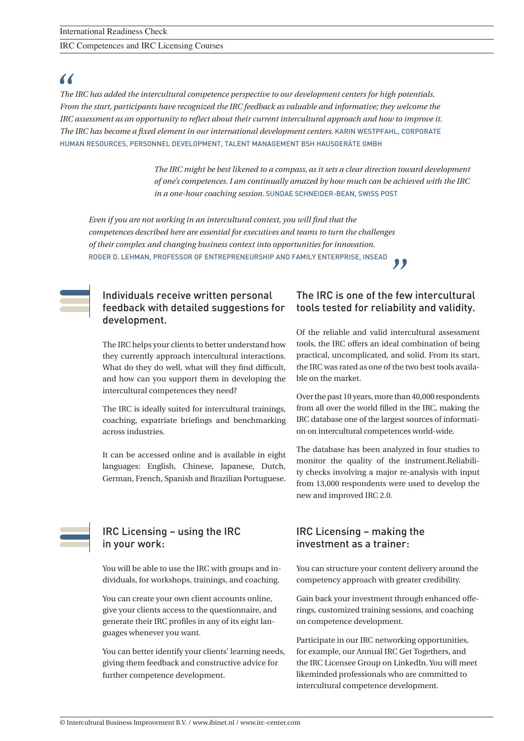IRC Competences and IRC Licensing Courses

### *,KDYHWKRURXJKO\HQMR\HGHYHU\DVSHFWRIWKLVFHUWLÀFDWLRQSURFHVV7KH,%,WHDPLVDWRWDOSOHDVXUHWRZRUNZLWKDQG,ORRN*

*,KDGDORYHO\WUDLQLQJZLWKWKH,5&DQGP\FOLHQW·VWHDPUHDOO\LQVSLULQJDQGYHU\LQWHUHVWLQJXVLQJWKLVQHZIDFLOLWDWLRQ PHWKRGDVWKHEDVLVRUDUFKLWHFWXUHXSRQZKLFKWKHWUDLQLQJZDVVHWDQGLWZRUNHGUHDOO\ZHOO2QFHDJDLQWKHWHDPUHDOO\ The IRC has become a fixed element in our international development centers.* KARIN WESTPFAHL, CORPORATE HUMAN RESOURCES, PERSONNEL DEVELOPMENT, TALENT MANAGEMENT BSH HAUSGERÄTE GMBH *The IRC has added the intercultural competence perspective to our development centers for high potentials. From the start, participants have recognized the IRC feedback as valuable and informative; they welcome the IRC assessment as an opportunity to reflect about their current intercultural approach and how to improve it.* 

*\*UHDW-RE7KH,5&LVWHUULÀF,ZDVFRPSDULQJWKHIHHGEDFN,UHFHLYHGIURPWKH,5&DJDLQVWDSLORWYHUVLRQRIDQRWKHU The IRC might be best likened to a compass, as it sets a clear direction toward development LQVWUXPHQW,XWLOL]HGDIHZ\HDUVEDFN7KH,5&VWDQGVRXWLQTXDOLW\DQGGHSWKRILQVLJKWSOXVUHFRPPHQGDWLRQV of one's competences. I am continually amazed by how much can be achieved with the IRC in a one-hour coaching session.* SUNDAE SCHNEIDER-BEAN, SWISS POST

*7KH,5&LVDIDQWDVWLFWRROWRVKRZSHRSOHZKDWZHH[DFWO\PHDQZLWKLQWHUFXOWXUDOEHKDYLRU,WVKRZVZKHUH\RXDUH Even if you are not working in an intercultural context, you will find that the*   $competences \, described$  here are essential for executives and teams to turn the challenges *WRZRUNZLWKRXWLWDQ\PRUH*INA BAUM SENIOR CONSULTANT AND BOARD MEMBER ITIM INTERNATIONAL *of their complex and changing business context into opportunities for innovation.* ROGER D. LEHMAN, PROFESSOR OF ENTREPRENEURSHIP AND FAMILY ENTERPRISE, INSEAD

### development. Individuals receive written personal feedback with detailed suggestions for

The IRC helps your clients to better understand how What do they do well, what will they find difficult, and how can you support them in developing the intercultural competences they need? WHELQGHYHORSLOVING FRASHWHORSLOVING FRASHWH they currently approach intercultural interactions.

The IRC is ideally suited for intercultural trainings, coaching, expatriate briefings and benchmarking across industries.

It can be accessed online and is available in eight languages: English, Chinese, Japanese, Dutch, German, French, Spanish and Brazilian Portuguese.

#### IRC Licensing – using the IRC IRC Licensing - using the IRC in your work:

You will be able to use the IRC with groups and individuals, for workshops, trainings, and coaching.

You can create your own client accounts online, give your clients access to the questionnaire, and guages whenever you want. generate their IRC profiles in any of its eight lan-

You can better identify your clients' learning needs, giving them feedback and constructive advice for further competence development.

### The IRC is one of the few intercultural tools tested for reliability and validity.

Of the reliable and valid intercultural assessment practical, uncomplicated, and solid. From its start, the IRC was rated as one of the two best tools available on the market. tools, the IRC offers an ideal combination of being

Over the past 10 years, more than 40,000 respondents from all over the world filled in the IRC, making the IRC database one of the largest sources of information on intercultural competences world-wide.

The database has been analyzed in four studies to monitor the quality of the instrument.Reliability checks involving a major re-analysis with input from 13,000 respondents were used to develop the new and improved IRC 2.0.

#### $\mathbb{R}^n$  Licensing – making the investment IRC Licensing – making the investment as a trainer:

You can structure your content delivery around the competency approach with greater credibility.

Gain back your investment through enhanced offerings, customized training sessions, and coaching on competence development.

3DUWLFLSDWHLQWKH,5&QHWZRUNLQJRSSRUWXQLWLHVRIIHUHGE\ Participate in our IRC networking opportunities, for example, our Annual IRC Get Togethers, and the IRC Licensee Group on LinkedIn. You will meet likeminded professionals who are committed to intercultural competence development.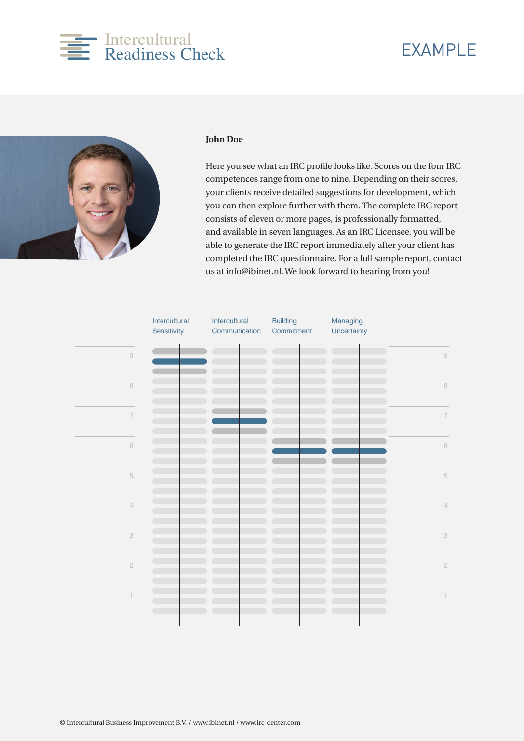### Intercultural Page 01 Readiness Check

### EXAMPLE



### $\overline{\phantom{a}}$ **John Doe**

competences range from one to nine. Depending on their scores, your clients receive detailed suggestions for development, which you can then explore further with them. The complete IRC report consists of eleven or more pages, is professionally formatted, Here you see what an IRC profile looks like. Scores on the four IRC and available in seven languages. As an IRC Licensee, you will be able to generate the IRC report immediately after your client has completed the IRC questionnaire. For a full sample report, contact us at info@ibinet.nl. We look forward to hearing from you!

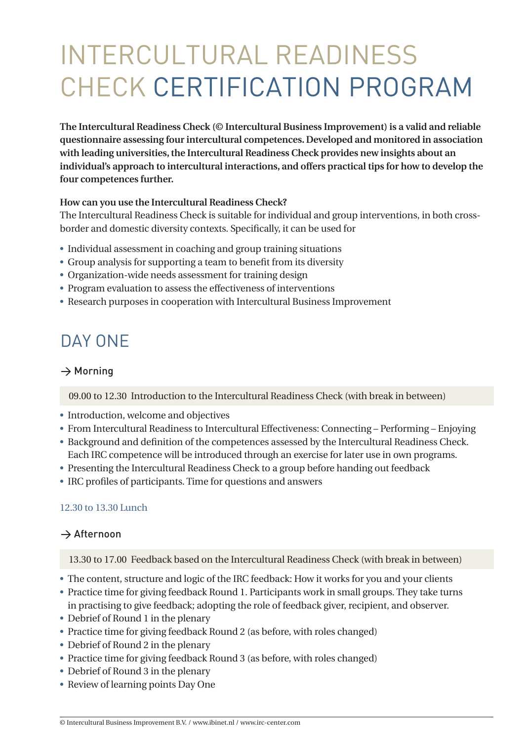# INTERCULTURAL READINESS CHECK CERTIFICATION PROGRAM

**The Intercultural Readiness Check (© Intercultural Business Improvement) is a valid and reliable questionnaire assessing four intercultural competences. Developed and monitored in association with leading universities, the Intercultural Readiness Check provides new insights about an individual's approach to intercultural interactions, and offers practical tips for how to develop the four competences further.**

### **How can you use the Intercultural Readiness Check?**

The Intercultural Readiness Check is suitable for individual and group interventions, in both crossborder and domestic diversity contexts. Specifically, it can be used for

- Individual assessment in coaching and group training situations
- Group analysis for supporting a team to benefit from its diversity
- Organization-wide needs assessment for training design
- Program evaluation to assess the effectiveness of interventions
- Research purposes in cooperation with Intercultural Business Improvement

### DAY ONE

### $\rightarrow$  Morning

09.00 to 12.30 Introduction to the Intercultural Readiness Check (with break in between)

- Introduction, welcome and objectives
- From Intercultural Readiness to Intercultural Effectiveness: Connecting Performing Enjoying
- Background and definition of the competences assessed by the Intercultural Readiness Check. Each IRC competence will be introduced through an exercise for later use in own programs.
- Presenting the Intercultural Readiness Check to a group before handing out feedback
- IRC profiles of participants. Time for questions and answers

### 12.30 to 13.30 Lunch

### $\rightarrow$  Afternoon

13.30 to 17.00 Feedback based on the Intercultural Readiness Check (with break in between)

- The content, structure and logic of the IRC feedback: How it works for you and your clients
- Practice time for giving feedback Round 1. Participants work in small groups. They take turns in practising to give feedback; adopting the role of feedback giver, recipient, and observer.
- $\bullet$  Debrief of Round 1 in the plenary
- Practice time for giving feedback Round 2 (as before, with roles changed)
- $\bullet$  Debrief of Round 2 in the plenary
- Practice time for giving feedback Round 3 (as before, with roles changed)
- $\bullet$  Debrief of Round 3 in the plenary
- Review of learning points Day One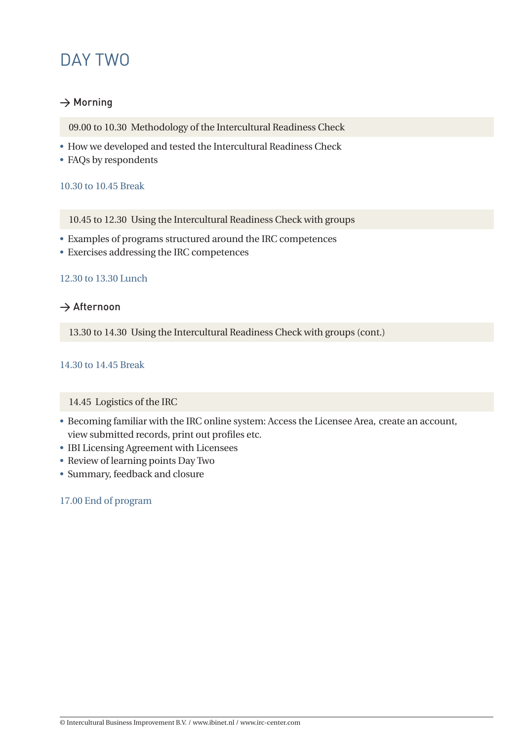### DAY TWO

### $\rightarrow$  Morning

- 09.00 to 10.30 Methodology of the Intercultural Readiness Check
- How we developed and tested the Intercultural Readiness Check
- FAQs by respondents

### 10.30 to 10.45 Break

10.45 to 12.30 Using the Intercultural Readiness Check with groups

- U Examples of programs structured around the IRC competences
- Exercises addressing the IRC competences

### 12.30 to 13.30 Lunch

### $\rightarrow$  Afternoon

13.30 to 14.30 Using the Intercultural Readiness Check with groups (cont.)

### 14.30 to 14.45 Break

### 14.45 Logistics of the IRC

- Becoming familiar with the IRC online system: Access the Licensee Area, create an account, view submitted records, print out profiles etc.
- IBI Licensing Agreement with Licensees
- Review of learning points Day Two
- Summary, feedback and closure

### 17.00 End of program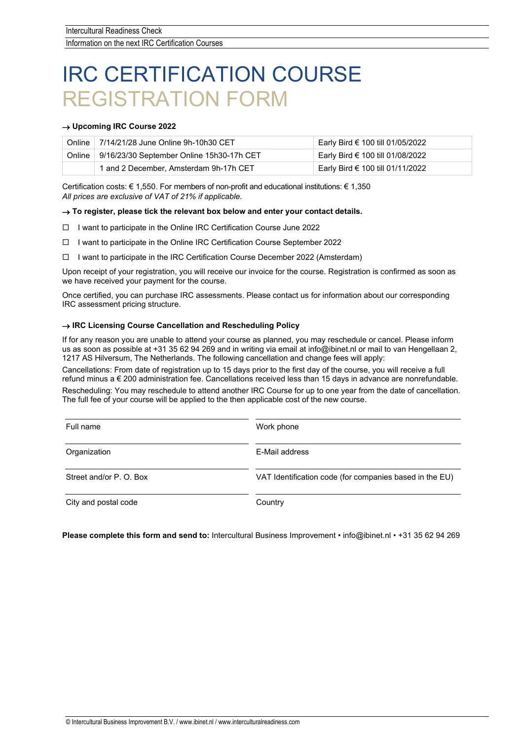## IRC CERTIFICATION COURSE REGISTRATION FORM

### → **Upcoming IRC Course 2022**

| <b>Online</b> | 7/14/21/28 June Online 9h-10h30 CET       | Early Bird € 100 till 01/05/2022 |
|---------------|-------------------------------------------|----------------------------------|
| Online        | 9/16/23/30 September Online 15h30-17h CET | Early Bird € 100 till 01/08/2022 |
|               | 1 and 2 December, Amsterdam 9h-17h CET    | Early Bird € 100 till 01/11/2022 |

Certification costs:  $\in 1,550$ . For members of non-profit and educational institutions:  $\in 1,350$ *All prices are exclusive of VAT of 21% if applicable.*

### $\rightarrow$  To register, please tick the relevant box below and enter your contact details.

- $\Box$  I want to participate in the Online IRC Certification Course June 2022
- I want to participate in the Online IRC Certification Course September 2022
- $\Box$  I want to participate in the IRC Certification Course December 2022 (Amsterdam)

Upon receipt of your registration, you will receive our invoice for the course. Registration is confirmed as soon as we have received your payment for the course.

Once certified, you can purchase IRC assessments. Please contact us for information about our corresponding IRC assessment pricing structure.

#### → **IRC Licensing Course Cancellation and Rescheduling Policy**

If for any reason you are unable to attend your course as planned, you may reschedule or cancel. Please inform us as soon as possible at +31 35 62 94 269 and in writing via email at info@ibinet.nl or mail to van Hengellaan 2, 1217 AS Hilversum, The Netherlands. The following cancellation and change fees will apply:

Cancellations: From date of registration up to 15 days prior to the first day of the course, you will receive a full refund minus a € 200 administration fee. Cancellations received less than 15 days in advance are nonrefundable. Rescheduling: You may reschedule to attend another IRC Course for up to one year from the date of cancellation. The full fee of your course will be applied to the then applicable cost of the new course.

| Full name               | Work phone                                              |  |
|-------------------------|---------------------------------------------------------|--|
| Organization            | E-Mail address                                          |  |
| Street and/or P. O. Box | VAT Identification code (for companies based in the EU) |  |
| City and postal code    | Country                                                 |  |

### **Please complete this form and send to:** Intercultural Business Improvement • info@ibinet.nl • +31 35 62 94 269